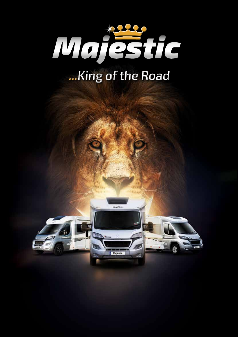

## **...King of the Road**